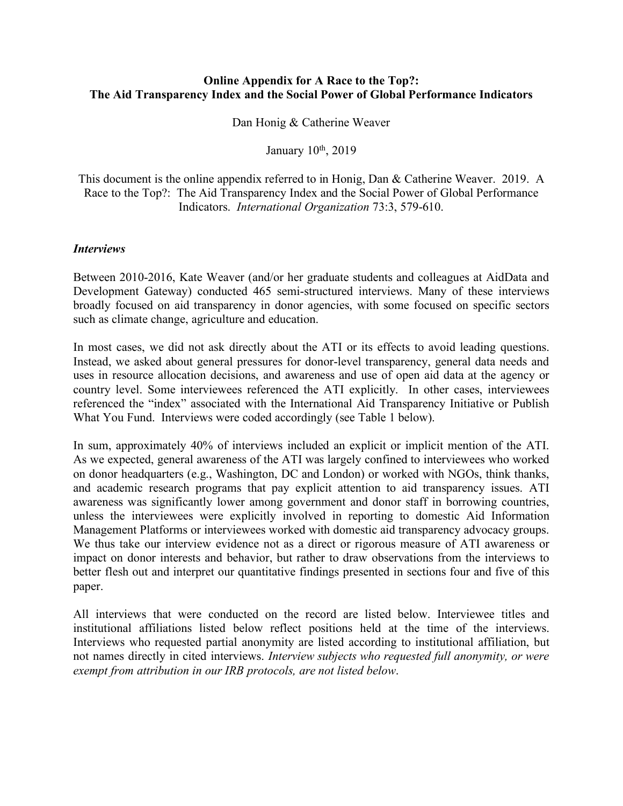## **Online Appendix for A Race to the Top?: The Aid Transparency Index and the Social Power of Global Performance Indicators**

Dan Honig & Catherine Weaver

January 10<sup>th</sup>, 2019

This document is the online appendix referred to in Honig, Dan & Catherine Weaver. 2019. A Race to the Top?: The Aid Transparency Index and the Social Power of Global Performance Indicators. *International Organization* 73:3, 579-610.

### *Interviews*

Between 2010-2016, Kate Weaver (and/or her graduate students and colleagues at AidData and Development Gateway) conducted 465 semi-structured interviews. Many of these interviews broadly focused on aid transparency in donor agencies, with some focused on specific sectors such as climate change, agriculture and education.

In most cases, we did not ask directly about the ATI or its effects to avoid leading questions. Instead, we asked about general pressures for donor-level transparency, general data needs and uses in resource allocation decisions, and awareness and use of open aid data at the agency or country level. Some interviewees referenced the ATI explicitly. In other cases, interviewees referenced the "index" associated with the International Aid Transparency Initiative or Publish What You Fund. Interviews were coded accordingly (see Table 1 below).

In sum, approximately 40% of interviews included an explicit or implicit mention of the ATI. As we expected, general awareness of the ATI was largely confined to interviewees who worked on donor headquarters (e.g., Washington, DC and London) or worked with NGOs, think thanks, and academic research programs that pay explicit attention to aid transparency issues. ATI awareness was significantly lower among government and donor staff in borrowing countries, unless the interviewees were explicitly involved in reporting to domestic Aid Information Management Platforms or interviewees worked with domestic aid transparency advocacy groups. We thus take our interview evidence not as a direct or rigorous measure of ATI awareness or impact on donor interests and behavior, but rather to draw observations from the interviews to better flesh out and interpret our quantitative findings presented in sections four and five of this paper.

All interviews that were conducted on the record are listed below. Interviewee titles and institutional affiliations listed below reflect positions held at the time of the interviews. Interviews who requested partial anonymity are listed according to institutional affiliation, but not names directly in cited interviews. *Interview subjects who requested full anonymity, or were exempt from attribution in our IRB protocols, are not listed below*.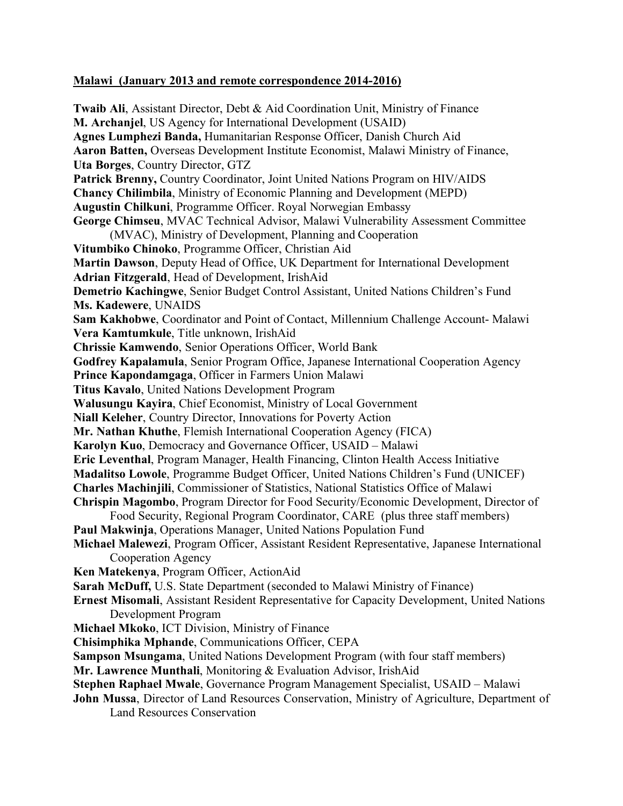### **Malawi (January 2013 and remote correspondence 2014-2016)**

**Twaib Ali**, Assistant Director, Debt & Aid Coordination Unit, Ministry of Finance **M. Archanjel**, US Agency for International Development (USAID) **Agnes Lumphezi Banda,** Humanitarian Response Officer, Danish Church Aid **Aaron Batten,** Overseas Development Institute Economist, Malawi Ministry of Finance, **Uta Borges**, Country Director, GTZ **Patrick Brenny,** Country Coordinator, Joint United Nations Program on HIV/AIDS **Chancy Chilimbila**, Ministry of Economic Planning and Development (MEPD) **Augustin Chilkuni**, Programme Officer. Royal Norwegian Embassy **George Chimseu**, MVAC Technical Advisor, Malawi Vulnerability Assessment Committee (MVAC), Ministry of Development, Planning and Cooperation **Vitumbiko Chinoko**, Programme Officer, Christian Aid **Martin Dawson**, Deputy Head of Office, UK Department for International Development **Adrian Fitzgerald**, Head of Development, IrishAid **Demetrio Kachingwe**, Senior Budget Control Assistant, United Nations Children's Fund **Ms. Kadewere**, UNAIDS **Sam Kakhobwe**, Coordinator and Point of Contact, Millennium Challenge Account- Malawi **Vera Kamtumkule**, Title unknown, IrishAid **Chrissie Kamwendo**, Senior Operations Officer, World Bank **Godfrey Kapalamula**, Senior Program Office, Japanese International Cooperation Agency **Prince Kapondamgaga**, Officer in Farmers Union Malawi **Titus Kavalo**, United Nations Development Program **Walusungu Kayira**, Chief Economist, Ministry of Local Government **Niall Keleher**, Country Director, Innovations for Poverty Action **Mr. Nathan Khuthe**, Flemish International Cooperation Agency (FICA) **Karolyn Kuo**, Democracy and Governance Officer, USAID – Malawi **Eric Leventhal**, Program Manager, Health Financing, Clinton Health Access Initiative **Madalitso Lowole**, Programme Budget Officer, United Nations Children's Fund (UNICEF) **Charles Machinjili**, Commissioner of Statistics, National Statistics Office of Malawi **Chrispin Magombo**, Program Director for Food Security/Economic Development, Director of Food Security, Regional Program Coordinator, CARE (plus three staff members) **Paul Makwinja**, Operations Manager, United Nations Population Fund **Michael Malewezi**, Program Officer, Assistant Resident Representative, Japanese International Cooperation Agency **Ken Matekenya**, Program Officer, ActionAid **Sarah McDuff,** U.S. State Department (seconded to Malawi Ministry of Finance) **Ernest Misomali**, Assistant Resident Representative for Capacity Development, United Nations Development Program **Michael Mkoko**, ICT Division, Ministry of Finance **Chisimphika Mphande**, Communications Officer, CEPA **Sampson Msungama**, United Nations Development Program (with four staff members) **Mr. Lawrence Munthali**, Monitoring & Evaluation Advisor, IrishAid **Stephen Raphael Mwale**, Governance Program Management Specialist, USAID – Malawi **John Mussa**, Director of Land Resources Conservation, Ministry of Agriculture, Department of

Land Resources Conservation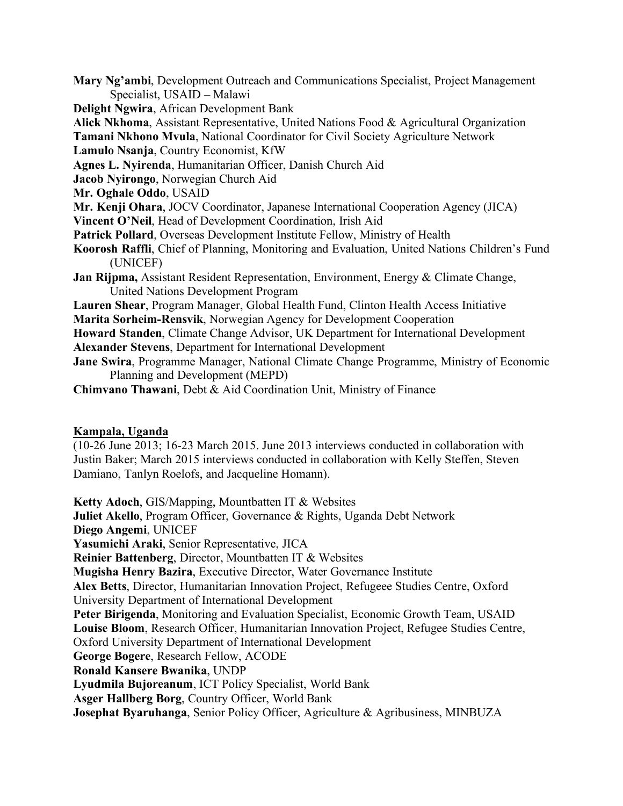- **Mary Ng'ambi**, Development Outreach and Communications Specialist, Project Management Specialist, USAID – Malawi
- **Delight Ngwira**, African Development Bank
- **Alick Nkhoma**, Assistant Representative, United Nations Food & Agricultural Organization

**Tamani Nkhono Mvula**, National Coordinator for Civil Society Agriculture Network

**Lamulo Nsanja**, Country Economist, KfW

- **Agnes L. Nyirenda**, Humanitarian Officer, Danish Church Aid
- **Jacob Nyirongo**, Norwegian Church Aid
- **Mr. Oghale Oddo**, USAID
- **Mr. Kenji Ohara**, JOCV Coordinator, Japanese International Cooperation Agency (JICA)
- **Vincent O'Neil**, Head of Development Coordination, Irish Aid
- **Patrick Pollard**, Overseas Development Institute Fellow, Ministry of Health
- **Koorosh Raffli**, Chief of Planning, Monitoring and Evaluation, United Nations Children's Fund (UNICEF)
- **Jan Rijpma,** Assistant Resident Representation, Environment, Energy & Climate Change, United Nations Development Program
- **Lauren Shear**, Program Manager, Global Health Fund, Clinton Health Access Initiative
- **Marita Sorheim-Rensvik**, Norwegian Agency for Development Cooperation

**Howard Standen**, Climate Change Advisor, UK Department for International Development **Alexander Stevens**, Department for International Development

- **Jane Swira**, Programme Manager, National Climate Change Programme, Ministry of Economic Planning and Development (MEPD)
- **Chimvano Thawani**, Debt & Aid Coordination Unit, Ministry of Finance

# **Kampala, Uganda**

(10-26 June 2013; 16-23 March 2015. June 2013 interviews conducted in collaboration with Justin Baker; March 2015 interviews conducted in collaboration with Kelly Steffen, Steven Damiano, Tanlyn Roelofs, and Jacqueline Homann).

**Ketty Adoch**, GIS/Mapping, Mountbatten IT & Websites **Juliet Akello**, Program Officer, Governance & Rights, Uganda Debt Network **Diego Angemi**, UNICEF **Yasumichi Araki**, Senior Representative, JICA **Reinier Battenberg**, Director, Mountbatten IT & Websites **Mugisha Henry Bazira**, Executive Director, Water Governance Institute **Alex Betts**, Director, Humanitarian Innovation Project, Refugeee Studies Centre, Oxford University Department of International Development **Peter Birigenda**, Monitoring and Evaluation Specialist, Economic Growth Team, USAID **Louise Bloom**, Research Officer, Humanitarian Innovation Project, Refugee Studies Centre, Oxford University Department of International Development **George Bogere**, Research Fellow, ACODE **Ronald Kansere Bwanika**, UNDP **Lyudmila Bujoreanum**, ICT Policy Specialist, World Bank **Asger Hallberg Borg**, Country Officer, World Bank **Josephat Byaruhanga**, Senior Policy Officer, Agriculture & Agribusiness, MINBUZA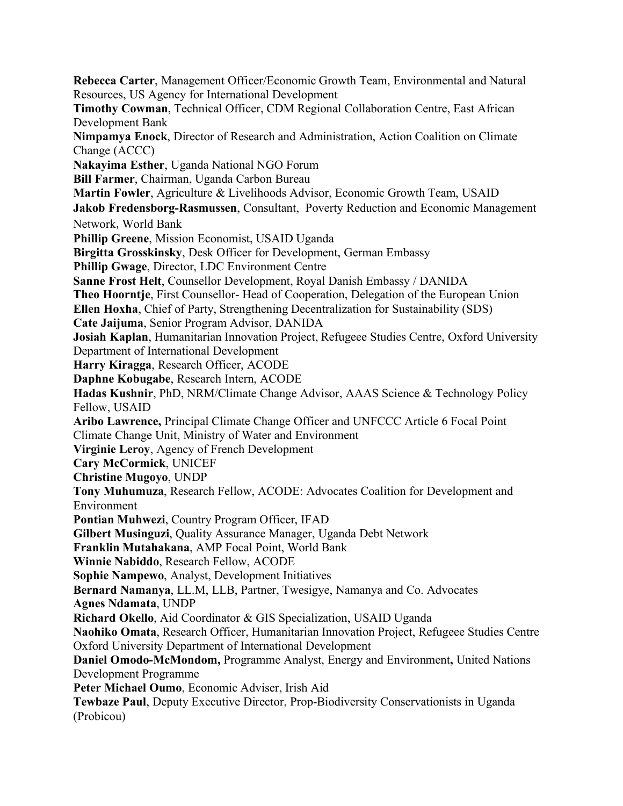**Rebecca Carter**, Management Officer/Economic Growth Team, Environmental and Natural Resources, US Agency for International Development **Timothy Cowman**, Technical Officer, CDM Regional Collaboration Centre, East African Development Bank **Nimpamya Enock**, Director of Research and Administration, Action Coalition on Climate Change (ACCC) **Nakayima Esther**, Uganda National NGO Forum **Bill Farmer**, Chairman, Uganda Carbon Bureau **Martin Fowler**, Agriculture & Livelihoods Advisor, Economic Growth Team, USAID **Jakob Fredensborg-Rasmussen**, Consultant, Poverty Reduction and Economic Management Network, World Bank **Phillip Greene**, Mission Economist, USAID Uganda **Birgitta Grosskinsky**, Desk Officer for Development, German Embassy **Phillip Gwage**, Director, LDC Environment Centre **Sanne Frost Helt**, Counsellor Development, Royal Danish Embassy / DANIDA **Theo Hoorntje**, First Counsellor- Head of Cooperation, Delegation of the European Union **Ellen Hoxha**, Chief of Party, Strengthening Decentralization for Sustainability (SDS) **Cate Jaijuma**, Senior Program Advisor, DANIDA **Josiah Kaplan**, Humanitarian Innovation Project, Refugeee Studies Centre, Oxford University Department of International Development **Harry Kiragga**, Research Officer, ACODE **Daphne Kobugabe**, Research Intern, ACODE **Hadas Kushnir**, PhD, NRM/Climate Change Advisor, AAAS Science & Technology Policy Fellow, USAID **Aribo Lawrence,** Principal Climate Change Officer and UNFCCC Article 6 Focal Point Climate Change Unit, Ministry of Water and Environment **Virginie Leroy**, Agency of French Development **Cary McCormick**, UNICEF **Christine Mugoyo**, UNDP **Tony Muhumuza**, Research Fellow, ACODE: Advocates Coalition for Development and Environment **Pontian Muhwezi**, Country Program Officer, IFAD **Gilbert Musinguzi**, Quality Assurance Manager, Uganda Debt Network **Franklin Mutahakana**, AMP Focal Point, World Bank **Winnie Nabiddo**, Research Fellow, ACODE **Sophie Nampewo**, Analyst, Development Initiatives **Bernard Namanya**, LL.M, LLB, Partner, Twesigye, Namanya and Co. Advocates **Agnes Ndamata**, UNDP **Richard Okello**, Aid Coordinator & GIS Specialization, USAID Uganda **Naohiko Omata**, Research Officer, Humanitarian Innovation Project, Refugeee Studies Centre Oxford University Department of International Development **Daniel Omodo-McMondom,** Programme Analyst, Energy and Environment**,** United Nations Development Programme **Peter Michael Oumo**, Economic Adviser, Irish Aid **Tewbaze Paul**, Deputy Executive Director, Prop-Biodiversity Conservationists in Uganda (Probicou)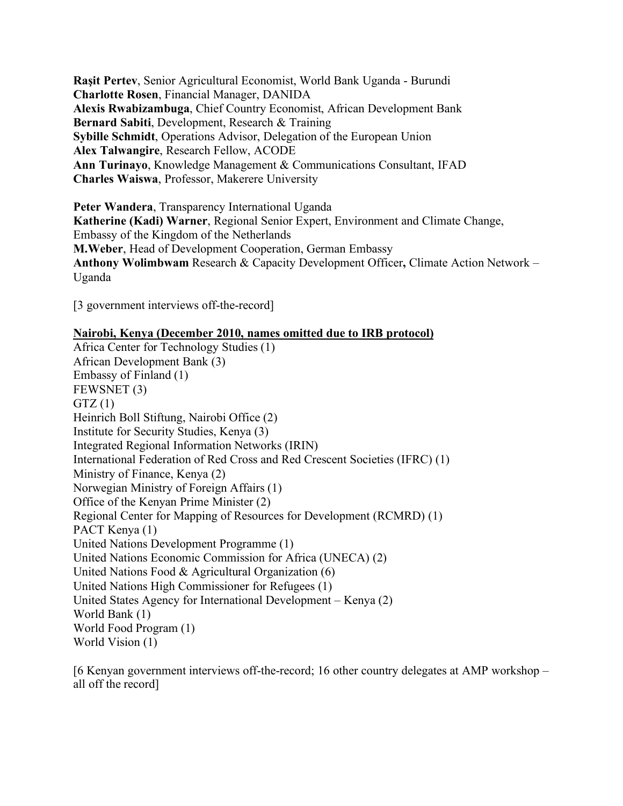**Raşit Pertev**, Senior Agricultural Economist, World Bank Uganda - Burundi **Charlotte Rosen**, Financial Manager, DANIDA **Alexis Rwabizambuga**, Chief Country Economist, African Development Bank **Bernard Sabiti**, Development, Research & Training **Sybille Schmidt**, Operations Advisor, Delegation of the European Union **Alex Talwangire**, Research Fellow, ACODE **Ann Turinayo**, Knowledge Management & Communications Consultant, IFAD **Charles Waiswa**, Professor, Makerere University

**Peter Wandera**, Transparency International Uganda **Katherine (Kadi) Warner**, Regional Senior Expert, Environment and Climate Change, Embassy of the Kingdom of the Netherlands **M.Weber**, Head of Development Cooperation, German Embassy **Anthony Wolimbwam** Research & Capacity Development Officer**,** Climate Action Network – Uganda

[3 government interviews off-the-record]

## **Nairobi, Kenya (December 2010, names omitted due to IRB protocol)**

Africa Center for Technology Studies (1) African Development Bank (3) Embassy of Finland (1) FEWSNET (3)  $GTZ(1)$ Heinrich Boll Stiftung, Nairobi Office (2) Institute for Security Studies, Kenya (3) Integrated Regional Information Networks (IRIN) International Federation of Red Cross and Red Crescent Societies (IFRC) (1) Ministry of Finance, Kenya (2) Norwegian Ministry of Foreign Affairs (1) Office of the Kenyan Prime Minister (2) Regional Center for Mapping of Resources for Development (RCMRD) (1) PACT Kenya (1) United Nations Development Programme (1) United Nations Economic Commission for Africa (UNECA) (2) United Nations Food & Agricultural Organization (6) United Nations High Commissioner for Refugees (1) United States Agency for International Development – Kenya (2) World Bank (1) World Food Program (1) World Vision (1)

[6 Kenyan government interviews off-the-record; 16 other country delegates at AMP workshop – all off the record]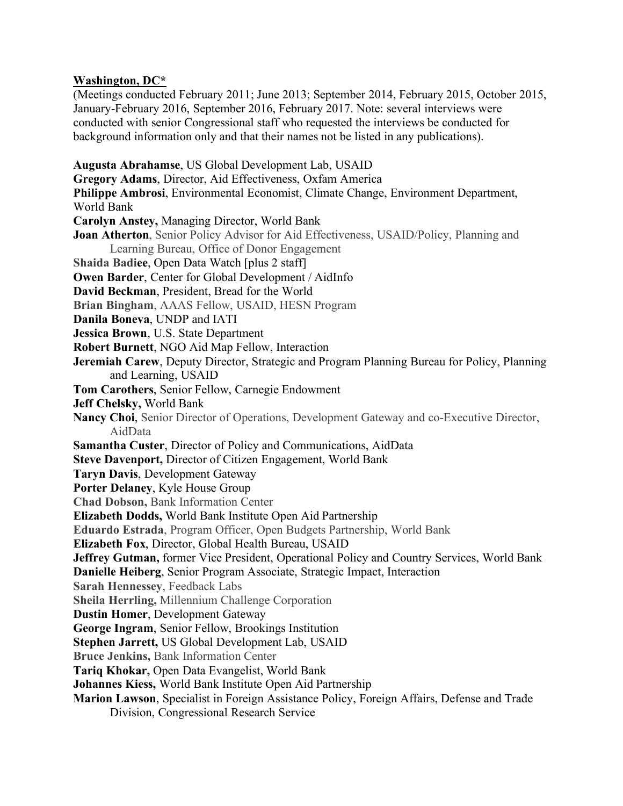## **Washington, DC\***

(Meetings conducted February 2011; June 2013; September 2014, February 2015, October 2015, January-February 2016, September 2016, February 2017. Note: several interviews were conducted with senior Congressional staff who requested the interviews be conducted for background information only and that their names not be listed in any publications).

**Augusta Abrahamse**, US Global Development Lab, USAID **Gregory Adams**, Director, Aid Effectiveness, Oxfam America **Philippe Ambrosi**, Environmental Economist, Climate Change, Environment Department, World Bank **Carolyn Anstey,** Managing Director, World Bank **Joan Atherton**, Senior Policy Advisor for Aid Effectiveness, USAID/Policy, Planning and Learning Bureau, Office of Donor Engagement **Shaida Badiee**, Open Data Watch [plus 2 staff] **Owen Barder**, Center for Global Development / AidInfo **David Beckman**, President, Bread for the World **Brian Bingham**, AAAS Fellow, USAID, HESN Program **Danila Boneva**, UNDP and IATI **Jessica Brown**, U.S. State Department **Robert Burnett**, NGO Aid Map Fellow, Interaction **Jeremiah Carew**, Deputy Director, Strategic and Program Planning Bureau for Policy, Planning and Learning, USAID **Tom Carothers**, Senior Fellow, Carnegie Endowment **Jeff Chelsky,** World Bank **Nancy Choi**, Senior Director of Operations, Development Gateway and co-Executive Director, AidData **Samantha Custer**, Director of Policy and Communications, AidData **Steve Davenport,** Director of Citizen Engagement, World Bank **Taryn Davis**, Development Gateway **Porter Delaney**, Kyle House Group **Chad Dobson,** Bank Information Center **Elizabeth Dodds,** World Bank Institute Open Aid Partnership **Eduardo Estrada**, Program Officer, Open Budgets Partnership, World Bank **Elizabeth Fox**, Director, Global Health Bureau, USAID **Jeffrey Gutman,** former Vice President, Operational Policy and Country Services, World Bank **Danielle Heiberg**, Senior Program Associate, Strategic Impact, Interaction **Sarah Hennessey**, Feedback Labs **Sheila Herrling,** Millennium Challenge Corporation **Dustin Homer**, Development Gateway **George Ingram**, Senior Fellow, Brookings Institution **Stephen Jarrett,** US Global Development Lab, USAID **Bruce Jenkins,** Bank Information Center **Tariq Khokar,** Open Data Evangelist, World Bank **Johannes Kiess,** World Bank Institute Open Aid Partnership **Marion Lawson**, Specialist in Foreign Assistance Policy, Foreign Affairs, Defense and Trade Division, Congressional Research Service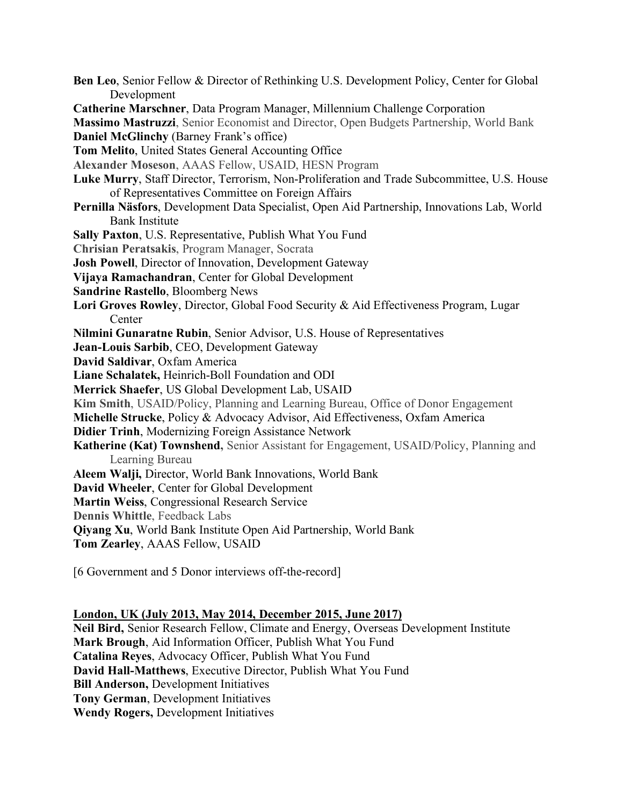- **Ben Leo**, Senior Fellow & Director of Rethinking U.S. Development Policy, Center for Global Development
- **Catherine Marschner**, Data Program Manager, Millennium Challenge Corporation

**Massimo Mastruzzi**, Senior Economist and Director, Open Budgets Partnership, World Bank **Daniel McGlinchy** (Barney Frank's office)

**Tom Melito**, United States General Accounting Office

**Alexander Moseson**, AAAS Fellow, USAID, HESN Program

- **Luke Murry**, Staff Director, Terrorism, Non-Proliferation and Trade Subcommittee, U.S. House of Representatives Committee on Foreign Affairs
- **Pernilla Näsfors**, Development Data Specialist, Open Aid Partnership, Innovations Lab, World Bank Institute

**Sally Paxton**, U.S. Representative, Publish What You Fund

**Chrisian Peratsakis**, Program Manager, Socrata

**Josh Powell**, Director of Innovation, Development Gateway

**Vijaya Ramachandran**, Center for Global Development

**Sandrine Rastello**, Bloomberg News

- Lori Groves Rowley, Director, Global Food Security & Aid Effectiveness Program, Lugar **Center**
- **Nilmini Gunaratne Rubin**, Senior Advisor, U.S. House of Representatives

**Jean-Louis Sarbib**, CEO, Development Gateway

**David Saldivar**, Oxfam America

**Liane Schalatek,** Heinrich-Boll Foundation and ODI

**Merrick Shaefer**, US Global Development Lab, USAID

**Kim Smith**, USAID/Policy, Planning and Learning Bureau, Office of Donor Engagement

**Michelle Strucke**, Policy & Advocacy Advisor, Aid Effectiveness, Oxfam America

**Didier Trinh**, Modernizing Foreign Assistance Network

**Katherine (Kat) Townshend,** Senior Assistant for Engagement, USAID/Policy, Planning and Learning Bureau

- **Aleem Walji,** Director, World Bank Innovations, World Bank
- **David Wheeler**, Center for Global Development

**Martin Weiss**, Congressional Research Service

**Dennis Whittle**, Feedback Labs

**Qiyang Xu**, World Bank Institute Open Aid Partnership, World Bank

**Tom Zearley**, AAAS Fellow, USAID

[6 Government and 5 Donor interviews off-the-record]

# **London, UK (July 2013, May 2014, December 2015, June 2017)**

**Neil Bird,** Senior Research Fellow, Climate and Energy, Overseas Development Institute **Mark Brough**, Aid Information Officer, Publish What You Fund **Catalina Reyes**, Advocacy Officer, Publish What You Fund **David Hall-Matthews**, Executive Director, Publish What You Fund **Bill Anderson,** Development Initiatives **Tony German**, Development Initiatives **Wendy Rogers,** Development Initiatives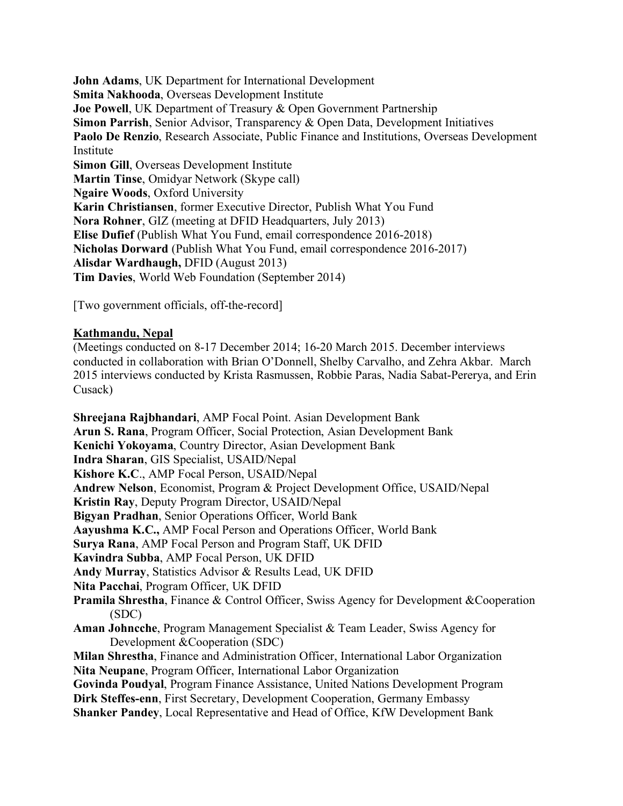**John Adams**, UK Department for International Development **Smita Nakhooda**, Overseas Development Institute **Joe Powell**, UK Department of Treasury & Open Government Partnership **Simon Parrish**, Senior Advisor, Transparency & Open Data, Development Initiatives **Paolo De Renzio**, Research Associate, Public Finance and Institutions, Overseas Development Institute **Simon Gill**, Overseas Development Institute **Martin Tinse**, Omidyar Network (Skype call) **Ngaire Woods**, Oxford University **Karin Christiansen**, former Executive Director, Publish What You Fund **Nora Rohner**, GIZ (meeting at DFID Headquarters, July 2013) **Elise Dufief** (Publish What You Fund, email correspondence 2016-2018) **Nicholas Dorward** (Publish What You Fund, email correspondence 2016-2017) **Alisdar Wardhaugh,** DFID (August 2013) **Tim Davies**, World Web Foundation (September 2014)

[Two government officials, off-the-record]

## **Kathmandu, Nepal**

(Meetings conducted on 8-17 December 2014; 16-20 March 2015. December interviews conducted in collaboration with Brian O'Donnell, Shelby Carvalho, and Zehra Akbar. March 2015 interviews conducted by Krista Rasmussen, Robbie Paras, Nadia Sabat-Pererya, and Erin Cusack)

**Shreejana Rajbhandari**, AMP Focal Point. Asian Development Bank **Arun S. Rana**, Program Officer, Social Protection, Asian Development Bank **Kenichi Yokoyama**, Country Director, Asian Development Bank **Indra Sharan**, GIS Specialist, USAID/Nepal **Kishore K.C**., AMP Focal Person, USAID/Nepal **Andrew Nelson**, Economist, Program & Project Development Office, USAID/Nepal **Kristin Ray**, Deputy Program Director, USAID/Nepal **Bigyan Pradhan**, Senior Operations Officer, World Bank **Aayushma K.C.,** AMP Focal Person and Operations Officer, World Bank **Surya Rana**, AMP Focal Person and Program Staff, UK DFID **Kavindra Subba**, AMP Focal Person, UK DFID **Andy Murray**, Statistics Advisor & Results Lead, UK DFID **Nita Pacchai**, Program Officer, UK DFID **Pramila Shrestha, Finance & Control Officer, Swiss Agency for Development & Cooperation** (SDC) **Aman Johncche**, Program Management Specialist & Team Leader, Swiss Agency for Development &Cooperation (SDC) **Milan Shrestha**, Finance and Administration Officer, International Labor Organization **Nita Neupane**, Program Officer, International Labor Organization **Govinda Poudyal**, Program Finance Assistance, United Nations Development Program **Dirk Steffes-enn**, First Secretary, Development Cooperation, Germany Embassy **Shanker Pandey**, Local Representative and Head of Office, KfW Development Bank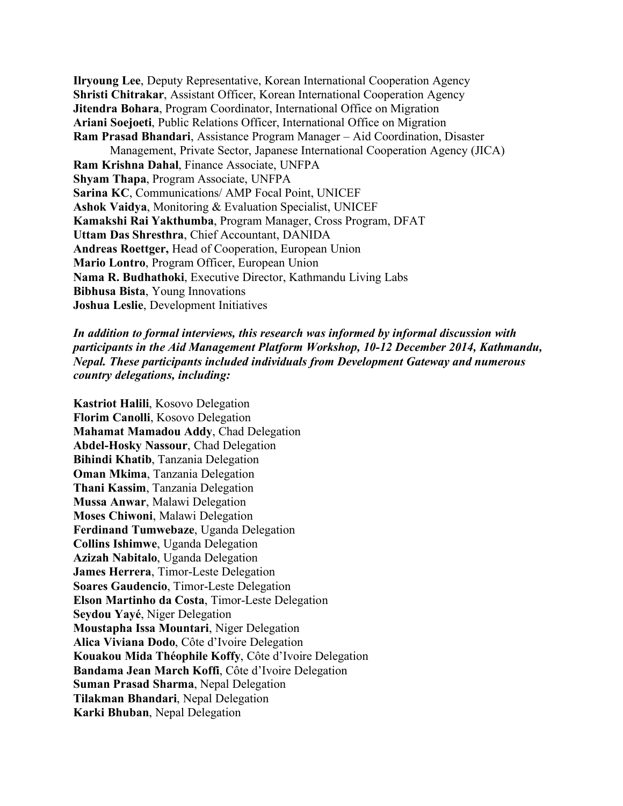**Ilryoung Lee**, Deputy Representative, Korean International Cooperation Agency **Shristi Chitrakar**, Assistant Officer, Korean International Cooperation Agency **Jitendra Bohara**, Program Coordinator, International Office on Migration **Ariani Soejoeti**, Public Relations Officer, International Office on Migration **Ram Prasad Bhandari**, Assistance Program Manager – Aid Coordination, Disaster Management, Private Sector, Japanese International Cooperation Agency (JICA) **Ram Krishna Dahal**, Finance Associate, UNFPA **Shyam Thapa**, Program Associate, UNFPA **Sarina KC**, Communications/ AMP Focal Point, UNICEF **Ashok Vaidya**, Monitoring & Evaluation Specialist, UNICEF **Kamakshi Rai Yakthumba**, Program Manager, Cross Program, DFAT **Uttam Das Shresthra**, Chief Accountant, DANIDA **Andreas Roettger,** Head of Cooperation, European Union **Mario Lontro**, Program Officer, European Union **Nama R. Budhathoki**, Executive Director, Kathmandu Living Labs **Bibhusa Bista**, Young Innovations **Joshua Leslie**, Development Initiatives

*In addition to formal interviews, this research was informed by informal discussion with participants in the Aid Management Platform Workshop, 10-12 December 2014, Kathmandu, Nepal. These participants included individuals from Development Gateway and numerous country delegations, including:*

**Kastriot Halili**, Kosovo Delegation **Florim Canolli**, Kosovo Delegation **Mahamat Mamadou Addy**, Chad Delegation **Abdel-Hosky Nassour**, Chad Delegation **Bihindi Khatib**, Tanzania Delegation **Oman Mkima**, Tanzania Delegation **Thani Kassim**, Tanzania Delegation **Mussa Anwar**, Malawi Delegation **Moses Chiwoni**, Malawi Delegation **Ferdinand Tumwebaze**, Uganda Delegation **Collins Ishimwe**, Uganda Delegation **Azizah Nabitalo**, Uganda Delegation **James Herrera**, Timor-Leste Delegation **Soares Gaudencio**, Timor-Leste Delegation **Elson Martinho da Costa**, Timor-Leste Delegation **Seydou Yayé**, Niger Delegation **Moustapha Issa Mountari**, Niger Delegation **Alica Viviana Dodo**, Côte d'Ivoire Delegation **Kouakou Mida Théophile Koffy**, Côte d'Ivoire Delegation **Bandama Jean March Koffi**, Côte d'Ivoire Delegation **Suman Prasad Sharma**, Nepal Delegation **Tilakman Bhandari**, Nepal Delegation **Karki Bhuban**, Nepal Delegation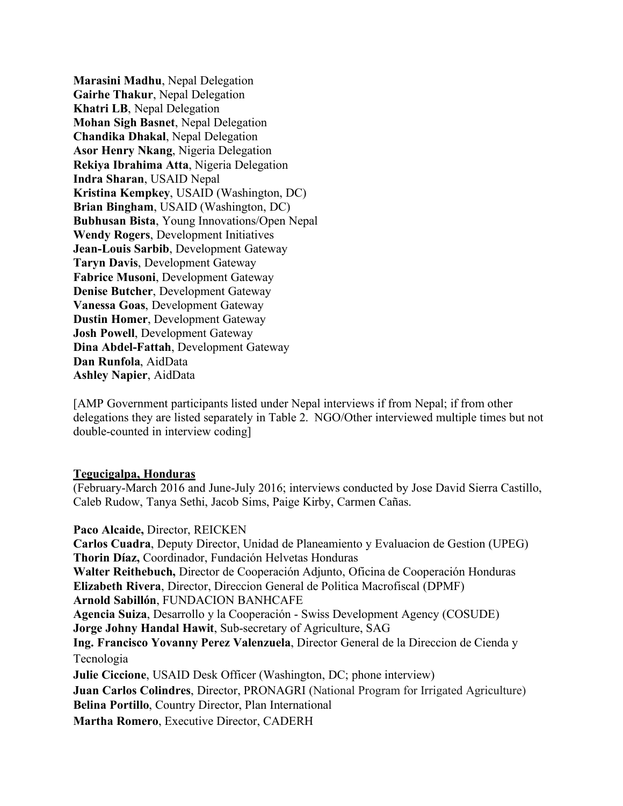**Marasini Madhu**, Nepal Delegation **Gairhe Thakur**, Nepal Delegation **Khatri LB**, Nepal Delegation **Mohan Sigh Basnet**, Nepal Delegation **Chandika Dhakal**, Nepal Delegation **Asor Henry Nkang**, Nigeria Delegation **Rekiya Ibrahima Atta**, Nigeria Delegation **Indra Sharan**, USAID Nepal **Kristina Kempkey**, USAID (Washington, DC) **Brian Bingham**, USAID (Washington, DC) **Bubhusan Bista**, Young Innovations/Open Nepal **Wendy Rogers**, Development Initiatives **Jean-Louis Sarbib**, Development Gateway **Taryn Davis**, Development Gateway **Fabrice Musoni**, Development Gateway **Denise Butcher**, Development Gateway **Vanessa Goas**, Development Gateway **Dustin Homer**, Development Gateway **Josh Powell**, Development Gateway **Dina Abdel-Fattah**, Development Gateway **Dan Runfola**, AidData **Ashley Napier**, AidData

[AMP Government participants listed under Nepal interviews if from Nepal; if from other delegations they are listed separately in Table 2. NGO/Other interviewed multiple times but not double-counted in interview coding]

### **Tegucigalpa, Honduras**

(February-March 2016 and June-July 2016; interviews conducted by Jose David Sierra Castillo, Caleb Rudow, Tanya Sethi, Jacob Sims, Paige Kirby, Carmen Cañas.

**Paco Alcaide,** Director, REICKEN **Carlos Cuadra**, Deputy Director, Unidad de Planeamiento y Evaluacion de Gestion (UPEG) **Thorin Díaz,** Coordinador, Fundación Helvetas Honduras **Walter Reithebuch,** Director de Cooperación Adjunto, Oficina de Cooperación Honduras **Elizabeth Rivera**, Director, Direccion General de Politica Macrofiscal (DPMF) **Arnold Sabillón**, FUNDACION BANHCAFE **Agencia Suiza**, Desarrollo y la Cooperación - Swiss Development Agency (COSUDE) **Jorge Johny Handal Hawit**, Sub-secretary of Agriculture, SAG **Ing. Francisco Yovanny Perez Valenzuela**, Director General de la Direccion de Cienda y Tecnologia **Julie Ciccione**, USAID Desk Officer (Washington, DC; phone interview)

**Juan Carlos Colindres**, Director, PRONAGRI (National Program for Irrigated Agriculture) **Belina Portillo**, Country Director, Plan International

**Martha Romero**, Executive Director, CADERH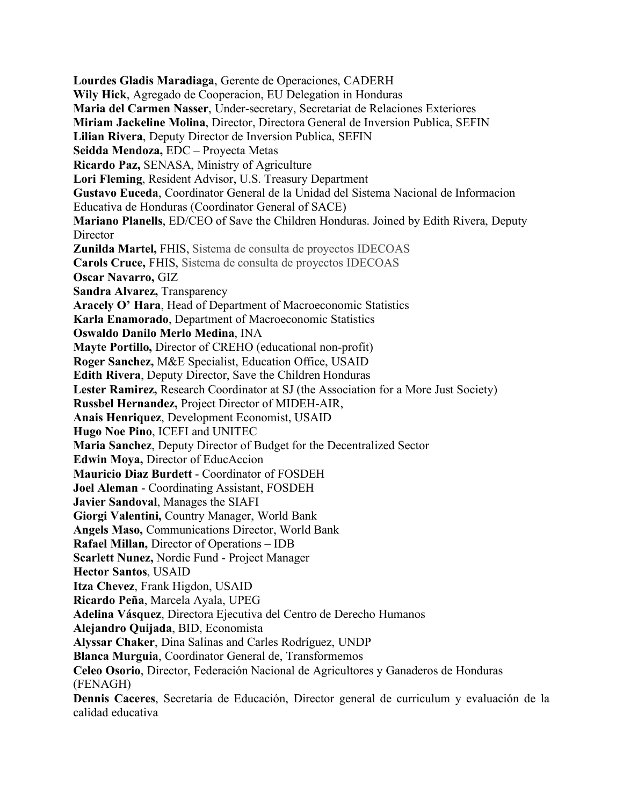**Lourdes Gladis Maradiaga**, Gerente de Operaciones, CADERH **Wily Hick**, Agregado de Cooperacion, EU Delegation in Honduras **Maria del Carmen Nasser**, Under-secretary, Secretariat de Relaciones Exteriores **Miriam Jackeline Molina**, Director, Directora General de Inversion Publica, SEFIN **Lilian Rivera**, Deputy Director de Inversion Publica, SEFIN **Seidda Mendoza,** EDC – Proyecta Metas **Ricardo Paz,** SENASA, Ministry of Agriculture **Lori Fleming**, Resident Advisor, U.S. Treasury Department **Gustavo Euceda**, Coordinator General de la Unidad del Sistema Nacional de Informacion Educativa de Honduras (Coordinator General of SACE) **Mariano Planells**, ED/CEO of Save the Children Honduras. Joined by Edith Rivera, Deputy **Director Zunilda Martel,** FHIS, Sistema de consulta de proyectos IDECOAS **Carols Cruce,** FHIS, Sistema de consulta de proyectos IDECOAS **Oscar Navarro,** GIZ **Sandra Alvarez,** Transparency **Aracely O' Hara**, Head of Department of Macroeconomic Statistics **Karla Enamorado**, Department of Macroeconomic Statistics **Oswaldo Danilo Merlo Medina**, INA **Mayte Portillo,** Director of CREHO (educational non-profit) **Roger Sanchez,** M&E Specialist, Education Office, USAID **Edith Rivera**, Deputy Director, Save the Children Honduras **Lester Ramirez,** Research Coordinator at SJ (the Association for a More Just Society) **Russbel Hernandez,** Project Director of MIDEH-AIR, **Anais Henriquez**, Development Economist, USAID **Hugo Noe Pino**, ICEFI and UNITEC **Maria Sanchez**, Deputy Director of Budget for the Decentralized Sector **Edwin Moya,** Director of EducAccion **Mauricio Diaz Burdett** - Coordinator of FOSDEH **Joel Aleman** - Coordinating Assistant, FOSDEH **Javier Sandoval**, Manages the SIAFI **Giorgi Valentini,** Country Manager, World Bank **Angels Maso,** Communications Director, World Bank **Rafael Millan,** Director of Operations – IDB **Scarlett Nunez,** Nordic Fund - Project Manager **Hector Santos**, USAID **Itza Chevez**, Frank Higdon, USAID **Ricardo Peña**, Marcela Ayala, UPEG **Adelina Vásquez**, Directora Ejecutiva del Centro de Derecho Humanos **Alejandro Quijada**, BID, Economista **Alyssar Chaker**, Dina Salinas and Carles Rodríguez, UNDP **Blanca Murguia**, Coordinator General de, Transformemos **Celeo Osorio**, Director, Federación Nacional de Agricultores y Ganaderos de Honduras (FENAGH) **Dennis Caceres**, Secretaría de Educación, Director general de curriculum y evaluación de la calidad educativa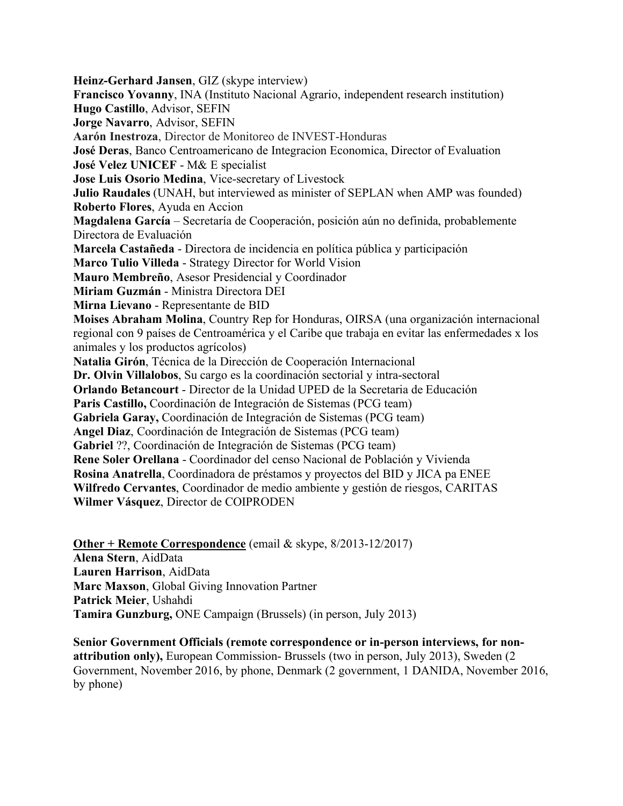**Heinz-Gerhard Jansen**, GIZ (skype interview) **Francisco Yovanny**, INA (Instituto Nacional Agrario, independent research institution) **Hugo Castillo**, Advisor, SEFIN **Jorge Navarro**, Advisor, SEFIN **Aarón Inestroza**, Director de Monitoreo de INVEST-Honduras **José Deras**, Banco Centroamericano de Integracion Economica, Director of Evaluation **José Velez UNICEF** - M& E specialist **Jose Luis Osorio Medina**, Vice-secretary of Livestock **Julio Raudales** (UNAH, but interviewed as minister of SEPLAN when AMP was founded) **Roberto Flores**, Ayuda en Accion **Magdalena García** – Secretaría de Cooperación, posición aún no definida, probablemente Directora de Evaluación **Marcela Castañeda** - Directora de incidencia en política pública y participación **Marco Tulio Villeda** - Strategy Director for World Vision **Mauro Membreño**, Asesor Presidencial y Coordinador **Miriam Guzmán** - Ministra Directora DEI **Mirna Lievano** - Representante de BID **Moises Abraham Molina**, Country Rep for Honduras, OIRSA (una organización internacional regional con 9 países de Centroamérica y el Caribe que trabaja en evitar las enfermedades x los animales y los productos agrícolos) **Natalia Girón**, Técnica de la Dirección de Cooperación Internacional **Dr. Olvin Villalobos**, Su cargo es la coordinación sectorial y intra-sectoral **Orlando Betancourt** - Director de la Unidad UPED de la Secretaria de Educación **Paris Castillo,** Coordinación de Integración de Sistemas (PCG team) **Gabriela Garay,** Coordinación de Integración de Sistemas (PCG team) **Angel Diaz**, Coordinación de Integración de Sistemas (PCG team) **Gabriel** ??, Coordinación de Integración de Sistemas (PCG team) **Rene Soler Orellana** - Coordinador del censo Nacional de Población y Vivienda **Rosina Anatrella**, Coordinadora de préstamos y proyectos del BID y JICA pa ENEE **Wilfredo Cervantes**, Coordinador de medio ambiente y gestión de riesgos, CARITAS **Wilmer Vásquez**, Director de COIPRODEN

**Other + Remote Correspondence** (email & skype, 8/2013-12/2017) **Alena Stern**, AidData **Lauren Harrison**, AidData **Marc Maxson**, Global Giving Innovation Partner **Patrick Meier**, Ushahdi **Tamira Gunzburg,** ONE Campaign (Brussels) (in person, July 2013)

**Senior Government Officials (remote correspondence or in-person interviews, for nonattribution only),** European Commission- Brussels (two in person, July 2013), Sweden (2 Government, November 2016, by phone, Denmark (2 government, 1 DANIDA, November 2016, by phone)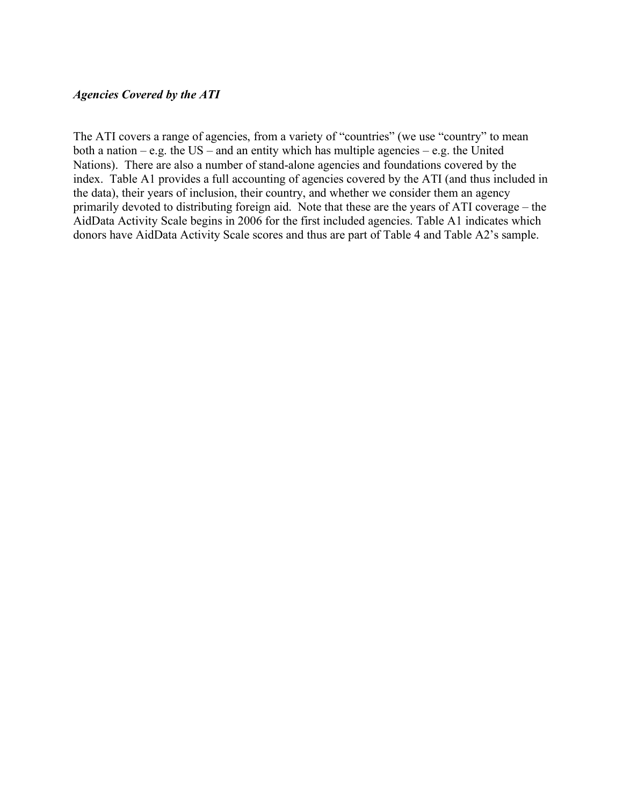#### *Agencies Covered by the ATI*

The ATI covers a range of agencies, from a variety of "countries" (we use "country" to mean both a nation – e.g. the  $US$  – and an entity which has multiple agencies – e.g. the United Nations). There are also a number of stand-alone agencies and foundations covered by the index. Table A1 provides a full accounting of agencies covered by the ATI (and thus included in the data), their years of inclusion, their country, and whether we consider them an agency primarily devoted to distributing foreign aid. Note that these are the years of ATI coverage – the AidData Activity Scale begins in 2006 for the first included agencies. Table A1 indicates which donors have AidData Activity Scale scores and thus are part of Table 4 and Table A2's sample.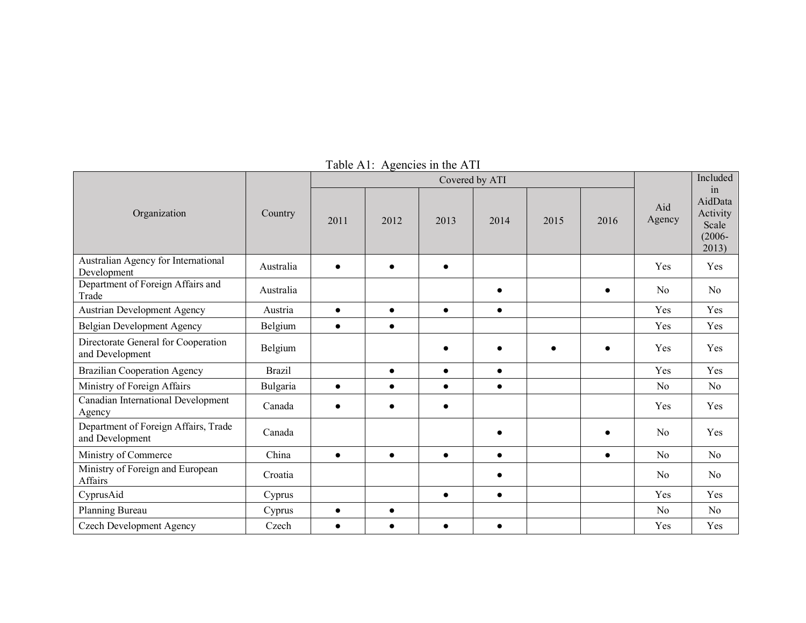|                                                         |               |           |           | Included  |           |      |           |                |                                                          |
|---------------------------------------------------------|---------------|-----------|-----------|-----------|-----------|------|-----------|----------------|----------------------------------------------------------|
| Organization                                            | Country       | 2011      | 2012      | 2013      | 2014      | 2015 | 2016      | Aid<br>Agency  | in<br>AidData<br>Activity<br>Scale<br>$(2006 -$<br>2013) |
| Australian Agency for International<br>Development      | Australia     |           |           | $\bullet$ |           |      |           | Yes            | Yes                                                      |
| Department of Foreign Affairs and<br>Trade              | Australia     |           |           |           | $\bullet$ |      | ●         | N <sub>0</sub> | N <sub>o</sub>                                           |
| Austrian Development Agency                             | Austria       | $\bullet$ | $\bullet$ | $\bullet$ | $\bullet$ |      |           | Yes            | Yes                                                      |
| Belgian Development Agency                              | Belgium       | $\bullet$ | $\bullet$ |           |           |      |           | Yes            | Yes                                                      |
| Directorate General for Cooperation<br>and Development  | Belgium       |           |           |           |           |      |           | Yes            | Yes                                                      |
| <b>Brazilian Cooperation Agency</b>                     | <b>Brazil</b> |           | $\bullet$ | $\bullet$ | $\bullet$ |      |           | Yes            | Yes                                                      |
| Ministry of Foreign Affairs                             | Bulgaria      | $\bullet$ | $\bullet$ | $\bullet$ | $\bullet$ |      |           | No             | N <sub>o</sub>                                           |
| Canadian International Development<br>Agency            | Canada        |           |           |           |           |      |           | Yes            | Yes                                                      |
| Department of Foreign Affairs, Trade<br>and Development | Canada        |           |           |           |           |      |           | N <sub>0</sub> | Yes                                                      |
| Ministry of Commerce                                    | China         | $\bullet$ | $\bullet$ | $\bullet$ | $\bullet$ |      | $\bullet$ | N <sub>0</sub> | N <sub>o</sub>                                           |
| Ministry of Foreign and European<br>Affairs             | Croatia       |           |           |           | $\bullet$ |      |           | No             | N <sub>o</sub>                                           |
| CyprusAid                                               | Cyprus        |           |           | $\bullet$ | $\bullet$ |      |           | Yes            | Yes                                                      |
| Planning Bureau                                         | Cyprus        | $\bullet$ | $\bullet$ |           |           |      |           | N <sub>0</sub> | N <sub>o</sub>                                           |
| <b>Czech Development Agency</b>                         | Czech         | $\bullet$ | $\bullet$ | $\bullet$ | $\bullet$ |      |           | Yes            | Yes                                                      |

Table A1: Agencies in the ATI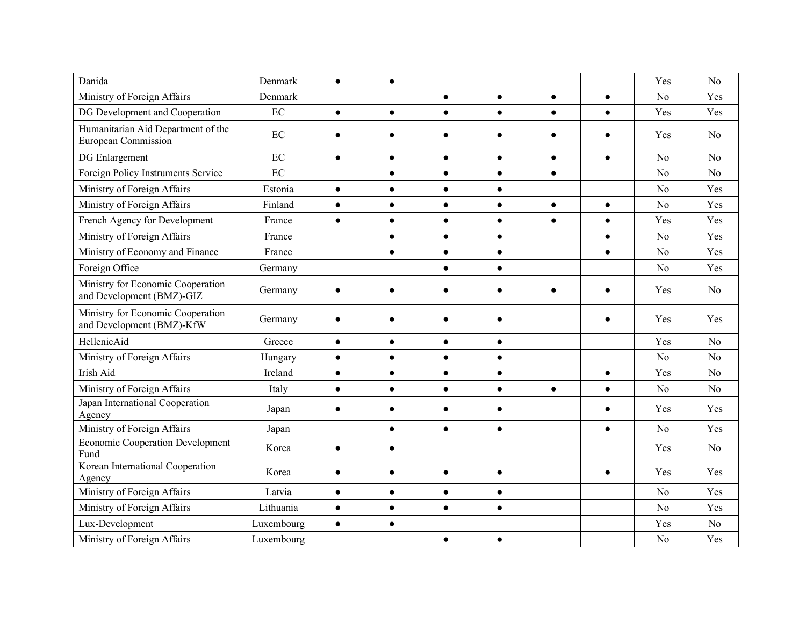| Danida                                                         | Denmark    | $\bullet$ | $\bullet$ |           |           |           |           | Yes            | N <sub>0</sub> |
|----------------------------------------------------------------|------------|-----------|-----------|-----------|-----------|-----------|-----------|----------------|----------------|
| Ministry of Foreign Affairs                                    | Denmark    |           |           | $\bullet$ | $\bullet$ | $\bullet$ | $\bullet$ | N <sub>o</sub> | Yes            |
| DG Development and Cooperation                                 | $\rm EC$   | $\bullet$ | $\bullet$ | $\bullet$ | $\bullet$ | $\bullet$ | $\bullet$ | Yes            | Yes            |
| Humanitarian Aid Department of the<br>European Commission      | EC         |           |           |           |           |           |           | Yes            | N <sub>0</sub> |
| DG Enlargement                                                 | EC         | $\bullet$ | $\bullet$ | $\bullet$ | $\bullet$ | $\bullet$ | $\bullet$ | N <sub>o</sub> | N <sub>0</sub> |
| Foreign Policy Instruments Service                             | EC         |           | $\bullet$ | $\bullet$ | $\bullet$ | $\bullet$ |           | N <sub>o</sub> | N <sub>o</sub> |
| Ministry of Foreign Affairs                                    | Estonia    | $\bullet$ | $\bullet$ | $\bullet$ | $\bullet$ |           |           | N <sub>o</sub> | Yes            |
| Ministry of Foreign Affairs                                    | Finland    | $\bullet$ | $\bullet$ | $\bullet$ | $\bullet$ | $\bullet$ | $\bullet$ | No             | Yes            |
| French Agency for Development                                  | France     | $\bullet$ | $\bullet$ | $\bullet$ | $\bullet$ | $\bullet$ | $\bullet$ | Yes            | Yes            |
| Ministry of Foreign Affairs                                    | France     |           | $\bullet$ | $\bullet$ | $\bullet$ |           | $\bullet$ | N <sub>o</sub> | Yes            |
| Ministry of Economy and Finance                                | France     |           | $\bullet$ | $\bullet$ | $\bullet$ |           | $\bullet$ | N <sub>o</sub> | Yes            |
| Foreign Office                                                 | Germany    |           |           | $\bullet$ | $\bullet$ |           |           | N <sub>o</sub> | Yes            |
| Ministry for Economic Cooperation<br>and Development (BMZ)-GIZ | Germany    |           |           |           |           |           |           | Yes            | N <sub>0</sub> |
| Ministry for Economic Cooperation<br>and Development (BMZ)-KfW | Germany    | $\bullet$ | $\bullet$ | $\bullet$ |           |           |           | Yes            | Yes            |
| HellenicAid                                                    | Greece     | $\bullet$ | $\bullet$ | $\bullet$ | $\bullet$ |           |           | Yes            | N <sub>0</sub> |
| Ministry of Foreign Affairs                                    | Hungary    | $\bullet$ | $\bullet$ | $\bullet$ | $\bullet$ |           |           | N <sub>o</sub> | N <sub>0</sub> |
| Irish Aid                                                      | Ireland    | $\bullet$ | $\bullet$ | $\bullet$ | $\bullet$ |           | $\bullet$ | Yes            | N <sub>0</sub> |
| Ministry of Foreign Affairs                                    | Italy      | $\bullet$ | $\bullet$ | $\bullet$ | $\bullet$ | $\bullet$ | $\bullet$ | N <sub>o</sub> | No             |
| Japan International Cooperation<br>Agency                      | Japan      | $\bullet$ | $\bullet$ | $\bullet$ | $\bullet$ |           | $\bullet$ | Yes            | Yes            |
| Ministry of Foreign Affairs                                    | Japan      |           | $\bullet$ | $\bullet$ | $\bullet$ |           | $\bullet$ | N <sub>o</sub> | Yes            |
| <b>Economic Cooperation Development</b><br>Fund                | Korea      | $\bullet$ | $\bullet$ |           |           |           |           | Yes            | N <sub>0</sub> |
| Korean International Cooperation<br>Agency                     | Korea      | $\bullet$ | $\bullet$ | $\bullet$ | $\bullet$ |           | $\bullet$ | Yes            | Yes            |
| Ministry of Foreign Affairs                                    | Latvia     | $\bullet$ | $\bullet$ | $\bullet$ | $\bullet$ |           |           | N <sub>o</sub> | Yes            |
| Ministry of Foreign Affairs                                    | Lithuania  | $\bullet$ | $\bullet$ | $\bullet$ | $\bullet$ |           |           | N <sub>o</sub> | Yes            |
| Lux-Development                                                | Luxembourg | $\bullet$ | $\bullet$ |           |           |           |           | Yes            | N <sub>o</sub> |
| Ministry of Foreign Affairs                                    | Luxembourg |           |           | $\bullet$ | $\bullet$ |           |           | N <sub>o</sub> | Yes            |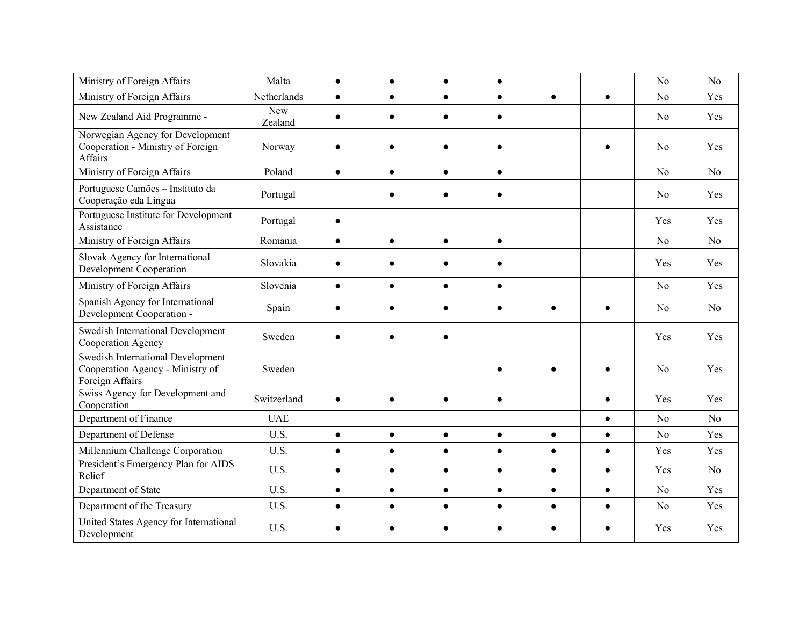| Ministry of Foreign Affairs                                                              | Malta          | $\bullet$ | $\bullet$ | $\bullet$ | $\bullet$ |           |           | N <sub>o</sub> | N <sub>0</sub> |
|------------------------------------------------------------------------------------------|----------------|-----------|-----------|-----------|-----------|-----------|-----------|----------------|----------------|
| Ministry of Foreign Affairs                                                              | Netherlands    | $\bullet$ | $\bullet$ | $\bullet$ | $\bullet$ | $\bullet$ | $\bullet$ | No             | Yes            |
| New Zealand Aid Programme -                                                              | New<br>Zealand |           |           | $\bullet$ | $\bullet$ |           |           | No             | Yes            |
| Norwegian Agency for Development<br>Cooperation - Ministry of Foreign<br>Affairs         | Norway         |           |           |           |           |           |           | N <sub>o</sub> | Yes            |
| Ministry of Foreign Affairs                                                              | Poland         | $\bullet$ | $\bullet$ | $\bullet$ | $\bullet$ |           |           | No             | No             |
| Portuguese Camões - Instituto da<br>Cooperação eda Língua                                | Portugal       |           |           |           |           |           |           | No             | Yes            |
| Portuguese Institute for Development<br>Assistance                                       | Portugal       | $\bullet$ |           |           |           |           |           | Yes            | Yes            |
| Ministry of Foreign Affairs                                                              | Romania        | $\bullet$ | $\bullet$ | $\bullet$ | $\bullet$ |           |           | No             | No             |
| Slovak Agency for International<br>Development Cooperation                               | Slovakia       |           |           |           |           |           |           | Yes            | Yes            |
| Ministry of Foreign Affairs                                                              | Slovenia       | $\bullet$ | $\bullet$ | $\bullet$ | $\bullet$ |           |           | N <sub>o</sub> | Yes            |
| Spanish Agency for International<br>Development Cooperation -                            | Spain          |           |           |           |           |           |           | No             | N <sub>0</sub> |
| Swedish International Development<br>Cooperation Agency                                  | Sweden         |           |           |           |           |           |           | Yes            | Yes            |
| Swedish International Development<br>Cooperation Agency - Ministry of<br>Foreign Affairs | Sweden         |           |           |           |           |           |           | N <sub>o</sub> | Yes            |
| Swiss Agency for Development and<br>Cooperation                                          | Switzerland    | $\bullet$ | $\bullet$ | $\bullet$ | $\bullet$ |           | $\bullet$ | Yes            | Yes            |
| Department of Finance                                                                    | <b>UAE</b>     |           |           |           |           |           | $\bullet$ | No             | No             |
| Department of Defense                                                                    | U.S.           | $\bullet$ | $\bullet$ | $\bullet$ | $\bullet$ | $\bullet$ | $\bullet$ | N <sub>o</sub> | Yes            |
| Millennium Challenge Corporation                                                         | U.S.           | $\bullet$ | $\bullet$ | $\bullet$ | $\bullet$ | $\bullet$ | $\bullet$ | Yes            | Yes            |
| President's Emergency Plan for AIDS<br>Relief                                            | U.S.           |           | $\bullet$ | $\bullet$ | $\bullet$ | $\bullet$ | $\bullet$ | Yes            | N <sub>0</sub> |
| Department of State                                                                      | U.S.           | $\bullet$ | $\bullet$ | $\bullet$ | $\bullet$ | $\bullet$ | $\bullet$ | No             | Yes            |
| Department of the Treasury                                                               | U.S.           | $\bullet$ | $\bullet$ | $\bullet$ | $\bullet$ | $\bullet$ | $\bullet$ | No             | Yes            |
| United States Agency for International<br>Development                                    | U.S.           |           |           |           |           |           |           | Yes            | Yes            |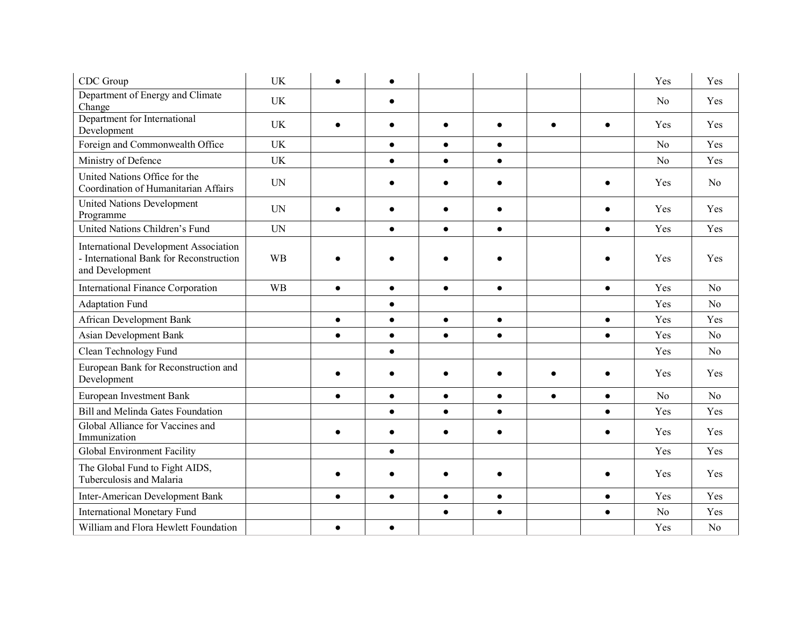| CDC Group                                                                                                  | UK        |           |           |           |           |           |           | Yes            | Yes            |
|------------------------------------------------------------------------------------------------------------|-----------|-----------|-----------|-----------|-----------|-----------|-----------|----------------|----------------|
| Department of Energy and Climate<br>Change                                                                 | <b>UK</b> |           |           |           |           |           |           | N <sub>0</sub> | Yes            |
| Department for International<br>Development                                                                | <b>UK</b> | ٠         | $\bullet$ | $\bullet$ | $\bullet$ | $\bullet$ | $\bullet$ | Yes            | Yes            |
| Foreign and Commonwealth Office                                                                            | <b>UK</b> |           | $\bullet$ | $\bullet$ | $\bullet$ |           |           | N <sub>o</sub> | Yes            |
| Ministry of Defence                                                                                        | <b>UK</b> |           | $\bullet$ | $\bullet$ | $\bullet$ |           |           | N <sub>o</sub> | Yes            |
| United Nations Office for the<br>Coordination of Humanitarian Affairs                                      | <b>UN</b> |           |           |           |           |           |           | Yes            | N <sub>0</sub> |
| <b>United Nations Development</b><br>Programme                                                             | <b>UN</b> |           | $\bullet$ | $\bullet$ | $\bullet$ |           |           | Yes            | Yes            |
| United Nations Children's Fund                                                                             | <b>UN</b> |           | $\bullet$ | $\bullet$ | $\bullet$ |           | $\bullet$ | Yes            | Yes            |
| <b>International Development Association</b><br>- International Bank for Reconstruction<br>and Development | <b>WB</b> |           |           |           |           |           |           | Yes            | Yes            |
| <b>International Finance Corporation</b>                                                                   | <b>WB</b> | $\bullet$ | $\bullet$ | $\bullet$ | $\bullet$ |           | $\bullet$ | Yes            | N <sub>o</sub> |
| <b>Adaptation Fund</b>                                                                                     |           |           | $\bullet$ |           |           |           |           | Yes            | N <sub>0</sub> |
| African Development Bank                                                                                   |           | $\bullet$ | $\bullet$ | $\bullet$ | $\bullet$ |           | $\bullet$ | Yes            | Yes            |
| Asian Development Bank                                                                                     |           | $\bullet$ | $\bullet$ | $\bullet$ | $\bullet$ |           | $\bullet$ | Yes            | N <sub>0</sub> |
| Clean Technology Fund                                                                                      |           |           | $\bullet$ |           |           |           |           | Yes            | N <sub>o</sub> |
| European Bank for Reconstruction and<br>Development                                                        |           |           |           |           |           |           |           | Yes            | Yes            |
| European Investment Bank                                                                                   |           | $\bullet$ | $\bullet$ | $\bullet$ | $\bullet$ | $\bullet$ | $\bullet$ | N <sub>0</sub> | N <sub>0</sub> |
| <b>Bill and Melinda Gates Foundation</b>                                                                   |           |           | $\bullet$ | $\bullet$ | $\bullet$ |           | $\bullet$ | Yes            | Yes            |
| Global Alliance for Vaccines and<br>Immunization                                                           |           | $\bullet$ | $\bullet$ | $\bullet$ |           |           | $\bullet$ | Yes            | Yes            |
| Global Environment Facility                                                                                |           |           | $\bullet$ |           |           |           |           | Yes            | Yes            |
| The Global Fund to Fight AIDS,<br>Tuberculosis and Malaria                                                 |           |           |           | $\bullet$ | $\bullet$ |           |           | Yes            | Yes            |
| Inter-American Development Bank                                                                            |           | $\bullet$ | $\bullet$ | $\bullet$ | $\bullet$ |           | $\bullet$ | Yes            | Yes            |
| <b>International Monetary Fund</b>                                                                         |           |           |           | $\bullet$ | $\bullet$ |           | $\bullet$ | N <sub>o</sub> | Yes            |
| William and Flora Hewlett Foundation                                                                       |           | $\bullet$ | $\bullet$ |           |           |           |           | Yes            | N <sub>o</sub> |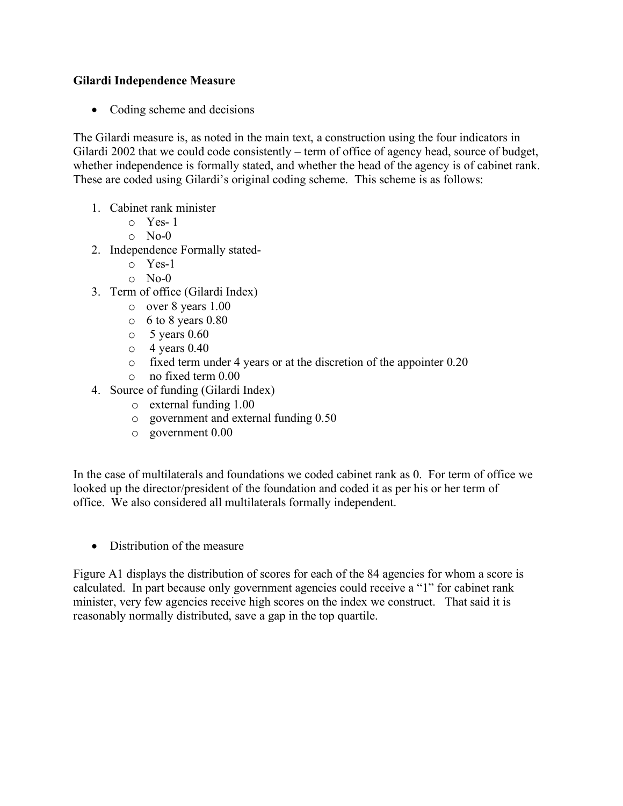# **Gilardi Independence Measure**

• Coding scheme and decisions

The Gilardi measure is, as noted in the main text, a construction using the four indicators in Gilardi 2002 that we could code consistently – term of office of agency head, source of budget, whether independence is formally stated, and whether the head of the agency is of cabinet rank. These are coded using Gilardi's original coding scheme. This scheme is as follows:

- 1. Cabinet rank minister
	- $\circ$  Yes- 1
	- $\circ$  No-0
- 2. Independence Formally stated
	- o Yes-1
	- $\circ$  No-0
- 3. Term of office (Gilardi Index)
	- o over 8 years 1.00
	- $\circ$  6 to 8 years 0.80
	- $\circ$  5 years 0.60
	- $\circ$  4 years 0.40
	- o fixed term under 4 years or at the discretion of the appointer 0.20
	- o no fixed term 0.00
- 4. Source of funding (Gilardi Index)
	- o external funding 1.00
	- o government and external funding 0.50
	- o government 0.00

In the case of multilaterals and foundations we coded cabinet rank as 0. For term of office we looked up the director/president of the foundation and coded it as per his or her term of office. We also considered all multilaterals formally independent.

• Distribution of the measure

Figure A1 displays the distribution of scores for each of the 84 agencies for whom a score is calculated. In part because only government agencies could receive a "1" for cabinet rank minister, very few agencies receive high scores on the index we construct. That said it is reasonably normally distributed, save a gap in the top quartile.